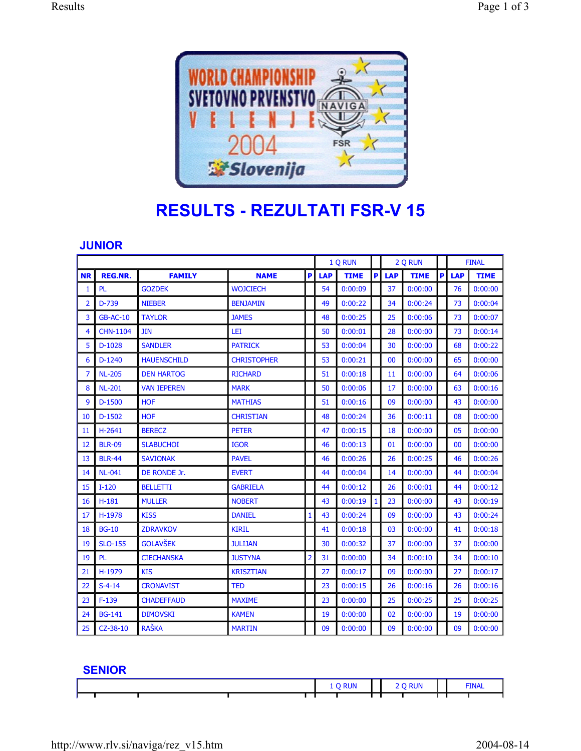

## **RESULTS - REZULTATI FSR-V 15**

## **JUNIOR**

|           |                 |                    |                    |                | 1 Q RUN    |             |   | 2 Q RUN    |             |   | <b>FINAL</b> |             |
|-----------|-----------------|--------------------|--------------------|----------------|------------|-------------|---|------------|-------------|---|--------------|-------------|
| <b>NR</b> | <b>REG.NR.</b>  | <b>FAMILY</b>      | <b>NAME</b>        | P              | <b>LAP</b> | <b>TIME</b> | P | <b>LAP</b> | <b>TIME</b> | P | <b>LAP</b>   | <b>TIME</b> |
| 1         | <b>PL</b>       | <b>GOZDEK</b>      | <b>WOJCIECH</b>    |                | 54         | 0:00:09     |   | 37         | 0:00:00     |   | 76           | 0:00:00     |
| 2         | $D-739$         | <b>NIEBER</b>      | <b>BENJAMIN</b>    |                | 49         | 0:00:22     |   | 34         | 0:00:24     |   | 73           | 0:00:04     |
| 3         | <b>GB-AC-10</b> | <b>TAYLOR</b>      | <b>JAMES</b>       |                | 48         | 0:00:25     |   | 25         | 0:00:06     |   | 73           | 0:00:07     |
| 4         | <b>CHN-1104</b> | <b>JIN</b>         | LEI                |                | 50         | 0:00:01     |   | 28         | 0:00:00     |   | 73           | 0:00:14     |
| 5         | $D-1028$        | <b>SANDLER</b>     | <b>PATRICK</b>     |                | 53         | 0:00:04     |   | 30         | 0:00:00     |   | 68           | 0:00:22     |
| 6         | $D-1240$        | <b>HAUENSCHILD</b> | <b>CHRISTOPHER</b> |                | 53         | 0:00:21     |   | 00         | 0:00:00     |   | 65           | 0:00:00     |
| 7         | <b>NL-205</b>   | <b>DEN HARTOG</b>  | <b>RICHARD</b>     |                | 51         | 0:00:18     |   | 11         | 0:00:00     |   | 64           | 0:00:06     |
| 8         | <b>NL-201</b>   | <b>VAN IEPEREN</b> | <b>MARK</b>        |                | 50         | 0:00:06     |   | 17         | 0:00:00     |   | 63           | 0:00:16     |
| 9         | $D-1500$        | <b>HOF</b>         | <b>MATHIAS</b>     |                | 51         | 0:00:16     |   | 09         | 0:00:00     |   | 43           | 0:00:00     |
| 10        | $D-1502$        | <b>HOF</b>         | <b>CHRISTIAN</b>   |                | 48         | 0:00:24     |   | 36         | 0:00:11     |   | 08           | 0:00:00     |
| 11        | $H - 2641$      | <b>BERECZ</b>      | <b>PETER</b>       |                | 47         | 0:00:15     |   | 18         | 0:00:00     |   | 05           | 0:00:00     |
| 12        | <b>BLR-09</b>   | <b>SLABUCHOI</b>   | <b>IGOR</b>        |                | 46         | 0:00:13     |   | 01         | 0:00:00     |   | 00           | 0:00:00     |
| 13        | <b>BLR-44</b>   | <b>SAVIONAK</b>    | <b>PAVEL</b>       |                | 46         | 0:00:26     |   | 26         | 0:00:25     |   | 46           | 0:00:26     |
| 14        | <b>NL-041</b>   | DE RONDE Jr.       | <b>EVERT</b>       |                | 44         | 0:00:04     |   | 14         | 0:00:00     |   | 44           | 0:00:04     |
| 15        | $I-120$         | <b>BELLETTI</b>    | <b>GABRIELA</b>    |                | 44         | 0:00:12     |   | 26         | 0:00:01     |   | 44           | 0:00:12     |
| 16        | $H-181$         | <b>MULLER</b>      | <b>NOBERT</b>      |                | 43         | 0:00:19     | 1 | 23         | 0:00:00     |   | 43           | 0:00:19     |
| 17        | H-1978          | <b>KISS</b>        | <b>DANIEL</b>      | 1              | 43         | 0:00:24     |   | 09         | 0:00:00     |   | 43           | 0:00:24     |
| 18        | <b>BG-10</b>    | <b>ZDRAVKOV</b>    | <b>KIRIL</b>       |                | 41         | 0:00:18     |   | 03         | 0:00:00     |   | 41           | 0:00:18     |
| 19        | <b>SLO-155</b>  | <b>GOLAVŠEK</b>    | <b>JULIJAN</b>     |                | 30         | 0:00:32     |   | 37         | 0:00:00     |   | 37           | 0:00:00     |
| 19        | <b>PL</b>       | <b>CIECHANSKA</b>  | <b>JUSTYNA</b>     | $\overline{2}$ | 31         | 0:00:00     |   | 34         | 0:00:10     |   | 34           | 0:00:10     |
| 21        | H-1979          | <b>KIS</b>         | <b>KRISZTIAN</b>   |                | 27         | 0:00:17     |   | 09         | 0:00:00     |   | 27           | 0:00:17     |
| 22        | $S-4-14$        | <b>CRONAVIST</b>   | <b>TED</b>         |                | 23         | 0:00:15     |   | 26         | 0:00:16     |   | 26           | 0:00:16     |
| 23        | $F-139$         | <b>CHADEFFAUD</b>  | <b>MAXIME</b>      |                | 23         | 0:00:00     |   | 25         | 0:00:25     |   | 25           | 0:00:25     |
| 24        | <b>BG-141</b>   | <b>DIMOVSKI</b>    | <b>KAMEN</b>       |                | 19         | 0:00:00     |   | 02         | 0:00:00     |   | 19           | 0:00:00     |
| 25        | $CZ-38-10$      | <b>RAŠKA</b>       | <b>MARTIN</b>      |                | 09         | 0:00:00     |   | 09         | 0:00:00     |   | 09           | 0:00:00     |

## **SENIOR**

|  |  |  | TNAI |
|--|--|--|------|
|  |  |  |      |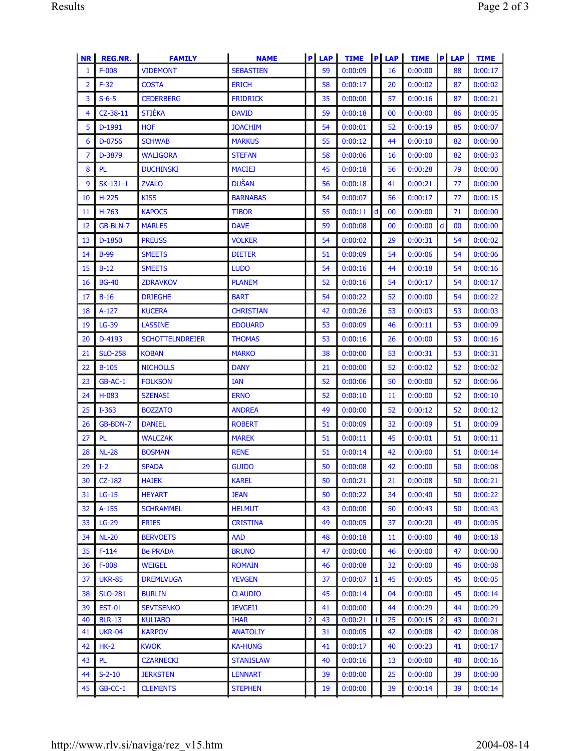| <b>NR</b> | <b>REG.NR.</b> | <b>FAMILY</b>          | <b>NAME</b>      |                | $P$ LAP | <b>TIME</b> |              | $P$ LAP | <b>TIME</b> |                | $P$ LAP | <b>TIME</b> |
|-----------|----------------|------------------------|------------------|----------------|---------|-------------|--------------|---------|-------------|----------------|---------|-------------|
| 1         | $F-008$        | <b>VIDEMONT</b>        | <b>SEBASTIEN</b> |                | 59      | 0:00:09     |              | 16      | 0:00:00     |                | 88      | 0:00:17     |
| 2         | $F-32$         | <b>COSTA</b>           | <b>ERICH</b>     |                | 58      | 0:00:17     |              | 20      | 0:00:02     |                | 87      | 0:00:02     |
| 3         | $S-6-5$        | <b>CEDERBERG</b>       | <b>FRIDRICK</b>  |                | 35      | 0:00:00     |              | 57      | 0:00:16     |                | 87      | 0:00:21     |
| 4         | $CZ-38-11$     | <b>STIEKA</b>          | <b>DAVID</b>     |                | 59      | 0:00:18     |              | 00      | 0:00:00     |                | 86      | 0:00:05     |
| 5         | D-1991         | <b>HOF</b>             | <b>JOACHIM</b>   |                | 54      | 0:00:01     |              | 52      | 0:00:19     |                | 85      | 0:00:07     |
| 6         | D-0756         | <b>SCHWAB</b>          | <b>MARKUS</b>    |                | 55      | 0:00:12     |              | 44      | 0:00:10     |                | 82      | 0:00:00     |
| 7         | D-3879         | <b>WALIGORA</b>        | <b>STEFAN</b>    |                | 58      | 0:00:06     |              | 16      | 0:00:00     |                | 82      | 0:00:03     |
| 8         | <b>PL</b>      | <b>DUCHINSKI</b>       | <b>MACIEJ</b>    |                | 45      | 0:00:18     |              | 56      | 0:00:28     |                | 79      | 0:00:00     |
| 9         | SK-131-1       | <b>ZVALO</b>           | <b>DUŠAN</b>     |                | 56      | 0:00:18     |              | 41      | 0:00:21     |                | 77      | 0:00:00     |
| 10        | $H-225$        | <b>KISS</b>            | <b>BARNABAS</b>  |                | 54      | 0:00:07     |              | 56      | 0:00:17     |                | 77      | 0:00:15     |
| 11        | $H-763$        | <b>KAPOCS</b>          | <b>TIBOR</b>     |                | 55      | 0:00:11     | d            | 00      | 0:00:00     |                | 71      | 0:00:00     |
| 12        | GB-BLN-7       | <b>MARLES</b>          | <b>DAVE</b>      |                | 59      | 0:00:08     |              | 00      | 0:00:00     | $\mathsf{d}$   | 00      | 0:00:00     |
| 13        | $D-1850$       | <b>PREUSS</b>          | <b>VOLKER</b>    |                | 54      | 0:00:02     |              | 29      | 0:00:31     |                | 54      | 0:00:02     |
| 14        | $B-99$         | <b>SMEETS</b>          | <b>DIETER</b>    |                | 51      | 0:00:09     |              | 54      | 0:00:06     |                | 54      | 0:00:06     |
| 15        | $B-12$         | <b>SMEETS</b>          | <b>LUDO</b>      |                | 54      | 0:00:16     |              | 44      | 0:00:18     |                | 54      | 0:00:16     |
| 16        | <b>BG-40</b>   | <b>ZDRAVKOV</b>        | <b>PLANEM</b>    |                | 52      | 0:00:16     |              | 54      | 0:00:17     |                | 54      | 0:00:17     |
| 17        | $B-16$         | <b>DRIEGHE</b>         | <b>BART</b>      |                | 54      | 0:00:22     |              | 52      | 0:00:00     |                | 54      | 0:00:22     |
| 18        | $A-127$        | <b>KUCERA</b>          | <b>CHRISTIAN</b> |                | 42      | 0:00:26     |              | 53      | 0:00:03     |                | 53      | 0:00:03     |
| 19        | $LG-39$        | <b>LASSINE</b>         | <b>EDOUARD</b>   |                | 53      | 0:00:09     |              | 46      | 0:00:11     |                | 53      | 0:00:09     |
| 20        | D-4193         | <b>SCHOTTELNDREIER</b> | <b>THOMAS</b>    |                | 53      | 0:00:16     |              | 26      | 0:00:00     |                | 53      | 0:00:16     |
| 21        | <b>SLO-258</b> | <b>KOBAN</b>           | <b>MARKO</b>     |                | 38      | 0:00:00     |              | 53      | 0:00:31     |                | 53      | 0:00:31     |
| 22        | $B-105$        | <b>NICHOLLS</b>        | <b>DANY</b>      |                | 21      | 0:00:00     |              | 52      | 0:00:02     |                | 52      | 0:00:02     |
| 23        | $GB-AC-1$      | <b>FOLKSON</b>         | <b>IAN</b>       |                | 52      | 0:00:06     |              | 50      | 0:00:00     |                | 52      | 0:00:06     |
| 24        | $H-083$        | <b>SZENASI</b>         | <b>ERNO</b>      |                | 52      | 0:00:10     |              | 11      | 0:00:00     |                | 52      | 0:00:10     |
| 25        | $I - 363$      | <b>BOZZATO</b>         | <b>ANDREA</b>    |                | 49      | 0:00:00     |              | 52      | 0:00:12     |                | 52      | 0:00:12     |
| 26        | GB-BDN-7       | <b>DANIEL</b>          | <b>ROBERT</b>    |                | 51      | 0:00:09     |              | 32      | 0:00:09     |                | 51      | 0:00:09     |
| 27        | <b>PL</b>      | <b>WALCZAK</b>         | <b>MAREK</b>     |                | 51      | 0:00:11     |              | 45      | 0:00:01     |                | 51      | 0:00:11     |
| 28        | <b>NL-28</b>   | <b>BOSMAN</b>          | <b>RENE</b>      |                | 51      | 0:00:14     |              | 42      | 0:00:00     |                | 51      | 0:00:14     |
| 29        | $I-2$          | <b>SPADA</b>           | <b>GUIDO</b>     |                | 50      | 0:00:08     |              | 42      | 0:00:00     |                | 50      | 0:00:08     |
| 30        | $CZ-182$       | <b>HAJEK</b>           | <b>KAREL</b>     |                | 50      | 0:00:21     |              | 21      | 0:00:08     |                | 50      | 0:00:21     |
| 31        | $LG-15$        | <b>HEYART</b>          | <b>JEAN</b>      |                | 50      | 0:00:22     |              | 34      | 0:00:40     |                | 50      | 0:00:22     |
| 32        | $A-155$        | <b>SCHRAMMEL</b>       | <b>HELMUT</b>    |                | 43      | 0:00:00     |              | 50      | 0:00:43     |                | 50      | 0:00:43     |
| 33        | $LG-29$        | <b>FRIES</b>           | <b>CRISTINA</b>  |                | 49      | 0:00:05     |              | 37      | 0:00:20     |                | 49      | 0:00:05     |
| 34        | <b>NL-20</b>   | <b>BERVOETS</b>        | <b>AAD</b>       |                | 48      | 0:00:18     |              | 11      | 0:00:00     |                | 48      | 0:00:18     |
| 35        | $F-114$        | <b>Be PRADA</b>        | <b>BRUNO</b>     |                | 47      | 0:00:00     |              | 46      | 0:00:00     |                | 47      | 0:00:00     |
| 36        | $F-008$        | <b>WEIGEL</b>          | <b>ROMAIN</b>    |                | 46      | 0:00:08     |              | 32      | 0:00:00     |                | 46      | 0:00:08     |
| 37        | <b>UKR-85</b>  | <b>DREMLVUGA</b>       | <b>YEVGEN</b>    |                | 37      | 0:00:07     | $\mathbf{1}$ | 45      | 0:00:05     |                | 45      | 0:00:05     |
| 38        | <b>SLO-281</b> | <b>BURLIN</b>          | <b>CLAUDIO</b>   |                | 45      | 0:00:14     |              | 04      | 0:00:00     |                | 45      | 0:00:14     |
| 39        | <b>EST-01</b>  | <b>SEVTSENKO</b>       | <b>JEVGEIJ</b>   |                | 41      | 0:00:00     |              | 44      | 0:00:29     |                | 44      | 0:00:29     |
| 40        | <b>BLR-13</b>  | <b>KULIABO</b>         | <b>IHAR</b>      | $\overline{2}$ | 43      | 0:00:21     | $\mathbf{1}$ | 25      | 0:00:15     | $\overline{2}$ | 43      | 0:00:21     |
| 41        | <b>UKR-04</b>  | <b>KARPOV</b>          | <b>ANATOLIY</b>  |                | 31      | 0:00:05     |              | 42      | 0:00:08     |                | 42      | 0:00:08     |
| 42        | $HK-2$         | <b>KWOK</b>            | <b>KA-HUNG</b>   |                | 41      | 0:00:17     |              | 40      | 0:00:23     |                | 41      | 0:00:17     |
| 43        | <b>PL</b>      | <b>CZARNECKI</b>       | <b>STANISLAW</b> |                | 40      | 0:00:16     |              | 13      | 0:00:00     |                | 40      | 0:00:16     |
| 44        | $S-2-10$       | <b>JERKSTEN</b>        | <b>LENNART</b>   |                | 39      | 0:00:00     |              | 25      | 0:00:00     |                | 39      | 0:00:00     |
| 45        | $GB-CC-1$      | <b>CLEMENTS</b>        | <b>STEPHEN</b>   |                | 19      | 0:00:00     |              | 39      | 0:00:14     |                | 39      | 0:00:14     |